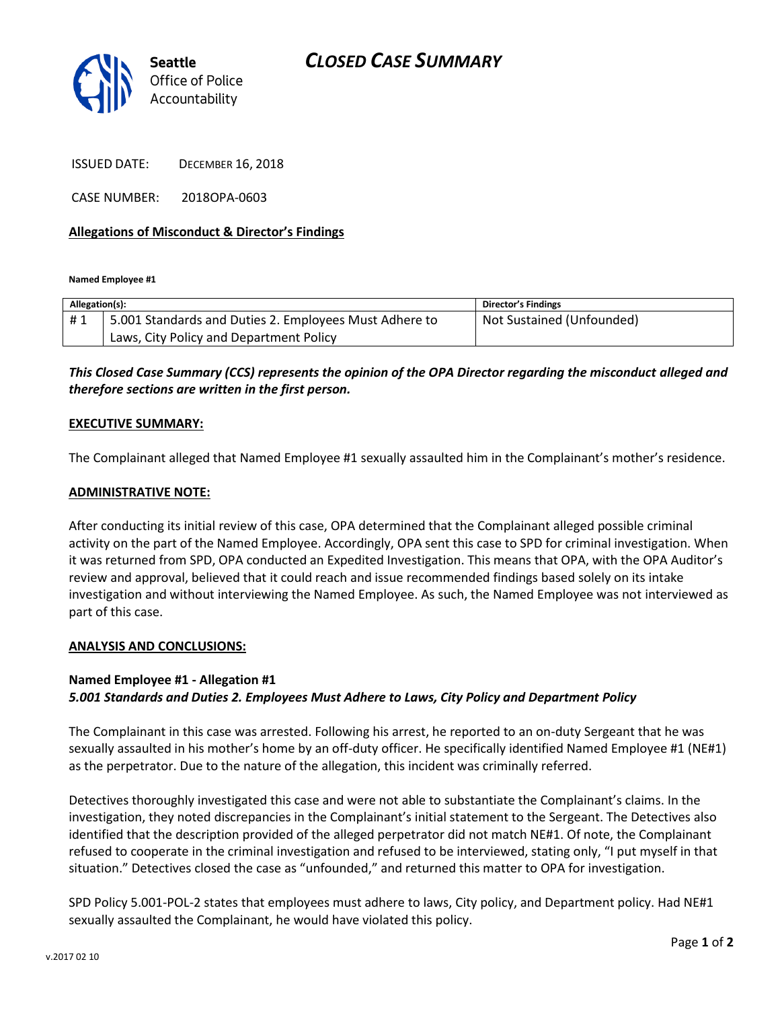



ISSUED DATE: DECEMBER 16, 2018

CASE NUMBER: 2018OPA-0603

### **Allegations of Misconduct & Director's Findings**

**Named Employee #1**

| Allegation(s): |                                                        | <b>Director's Findings</b> |
|----------------|--------------------------------------------------------|----------------------------|
| #1             | 5.001 Standards and Duties 2. Employees Must Adhere to | Not Sustained (Unfounded)  |
|                | Laws, City Policy and Department Policy                |                            |

# *This Closed Case Summary (CCS) represents the opinion of the OPA Director regarding the misconduct alleged and therefore sections are written in the first person.*

#### **EXECUTIVE SUMMARY:**

The Complainant alleged that Named Employee #1 sexually assaulted him in the Complainant's mother's residence.

#### **ADMINISTRATIVE NOTE:**

After conducting its initial review of this case, OPA determined that the Complainant alleged possible criminal activity on the part of the Named Employee. Accordingly, OPA sent this case to SPD for criminal investigation. When it was returned from SPD, OPA conducted an Expedited Investigation. This means that OPA, with the OPA Auditor's review and approval, believed that it could reach and issue recommended findings based solely on its intake investigation and without interviewing the Named Employee. As such, the Named Employee was not interviewed as part of this case.

#### **ANALYSIS AND CONCLUSIONS:**

## **Named Employee #1 - Allegation #1** *5.001 Standards and Duties 2. Employees Must Adhere to Laws, City Policy and Department Policy*

The Complainant in this case was arrested. Following his arrest, he reported to an on-duty Sergeant that he was sexually assaulted in his mother's home by an off-duty officer. He specifically identified Named Employee #1 (NE#1) as the perpetrator. Due to the nature of the allegation, this incident was criminally referred.

Detectives thoroughly investigated this case and were not able to substantiate the Complainant's claims. In the investigation, they noted discrepancies in the Complainant's initial statement to the Sergeant. The Detectives also identified that the description provided of the alleged perpetrator did not match NE#1. Of note, the Complainant refused to cooperate in the criminal investigation and refused to be interviewed, stating only, "I put myself in that situation." Detectives closed the case as "unfounded," and returned this matter to OPA for investigation.

SPD Policy 5.001-POL-2 states that employees must adhere to laws, City policy, and Department policy. Had NE#1 sexually assaulted the Complainant, he would have violated this policy.